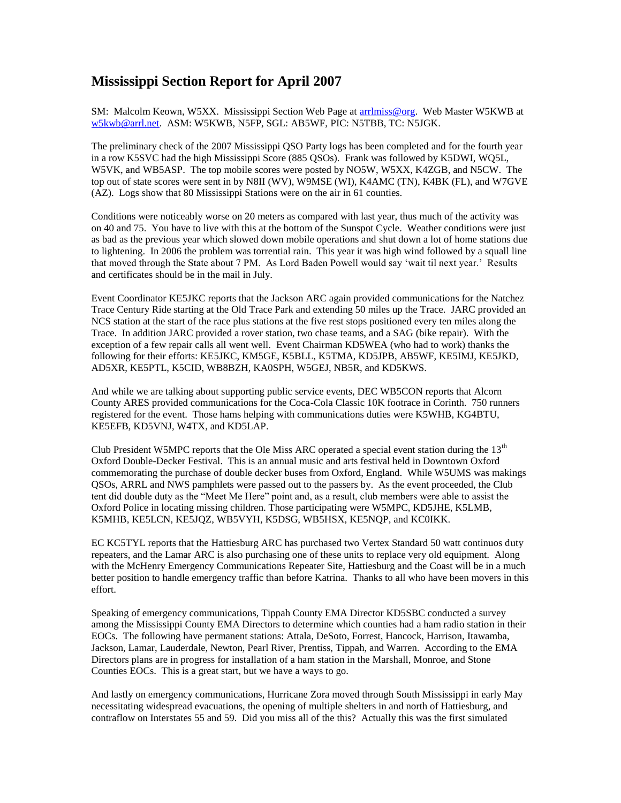## **Mississippi Section Report for April 2007**

SM: Malcolm Keown, W5XX. Mississippi Section Web Page at arrimiss@org. Web Master W5KWB at [w5kwb@arrl.net.](mailto:w5kwb@arrl.net) ASM: W5KWB, N5FP, SGL: AB5WF, PIC: N5TBB, TC: N5JGK.

The preliminary check of the 2007 Mississippi QSO Party logs has been completed and for the fourth year in a row K5SVC had the high Mississippi Score (885 QSOs). Frank was followed by K5DWI, WQ5L, W5VK, and WB5ASP. The top mobile scores were posted by NO5W, W5XX, K4ZGB, and N5CW. The top out of state scores were sent in by N8II (WV), W9MSE (WI), K4AMC (TN), K4BK (FL), and W7GVE (AZ). Logs show that 80 Mississippi Stations were on the air in 61 counties.

Conditions were noticeably worse on 20 meters as compared with last year, thus much of the activity was on 40 and 75. You have to live with this at the bottom of the Sunspot Cycle. Weather conditions were just as bad as the previous year which slowed down mobile operations and shut down a lot of home stations due to lightening. In 2006 the problem was torrential rain. This year it was high wind followed by a squall line that moved through the State about 7 PM. As Lord Baden Powell would say 'wait til next year.' Results and certificates should be in the mail in July.

Event Coordinator KE5JKC reports that the Jackson ARC again provided communications for the Natchez Trace Century Ride starting at the Old Trace Park and extending 50 miles up the Trace. JARC provided an NCS station at the start of the race plus stations at the five rest stops positioned every ten miles along the Trace. In addition JARC provided a rover station, two chase teams, and a SAG (bike repair). With the exception of a few repair calls all went well. Event Chairman KD5WEA (who had to work) thanks the following for their efforts: KE5JKC, KM5GE, K5BLL, K5TMA, KD5JPB, AB5WF, KE5IMJ, KE5JKD, AD5XR, KE5PTL, K5CID, WB8BZH, KA0SPH, W5GEJ, NB5R, and KD5KWS.

And while we are talking about supporting public service events, DEC WB5CON reports that Alcorn County ARES provided communications for the Coca-Cola Classic 10K footrace in Corinth. 750 runners registered for the event. Those hams helping with communications duties were K5WHB, KG4BTU, KE5EFB, KD5VNJ, W4TX, and KD5LAP.

Club President W5MPC reports that the Ole Miss ARC operated a special event station during the 13<sup>th</sup> Oxford Double-Decker Festival. This is an annual music and arts festival held in Downtown Oxford commemorating the purchase of double decker buses from Oxford, England. While W5UMS was makings QSOs, ARRL and NWS pamphlets were passed out to the passers by. As the event proceeded, the Club tent did double duty as the "Meet Me Here" point and, as a result, club members were able to assist the Oxford Police in locating missing children. Those participating were W5MPC, KD5JHE, K5LMB, K5MHB, KE5LCN, KE5JQZ, WB5VYH, K5DSG, WB5HSX, KE5NQP, and KC0IKK.

EC KC5TYL reports that the Hattiesburg ARC has purchased two Vertex Standard 50 watt continuos duty repeaters, and the Lamar ARC is also purchasing one of these units to replace very old equipment. Along with the McHenry Emergency Communications Repeater Site, Hattiesburg and the Coast will be in a much better position to handle emergency traffic than before Katrina. Thanks to all who have been movers in this effort.

Speaking of emergency communications, Tippah County EMA Director KD5SBC conducted a survey among the Mississippi County EMA Directors to determine which counties had a ham radio station in their EOCs. The following have permanent stations: Attala, DeSoto, Forrest, Hancock, Harrison, Itawamba, Jackson, Lamar, Lauderdale, Newton, Pearl River, Prentiss, Tippah, and Warren. According to the EMA Directors plans are in progress for installation of a ham station in the Marshall, Monroe, and Stone Counties EOCs. This is a great start, but we have a ways to go.

And lastly on emergency communications, Hurricane Zora moved through South Mississippi in early May necessitating widespread evacuations, the opening of multiple shelters in and north of Hattiesburg, and contraflow on Interstates 55 and 59. Did you miss all of the this? Actually this was the first simulated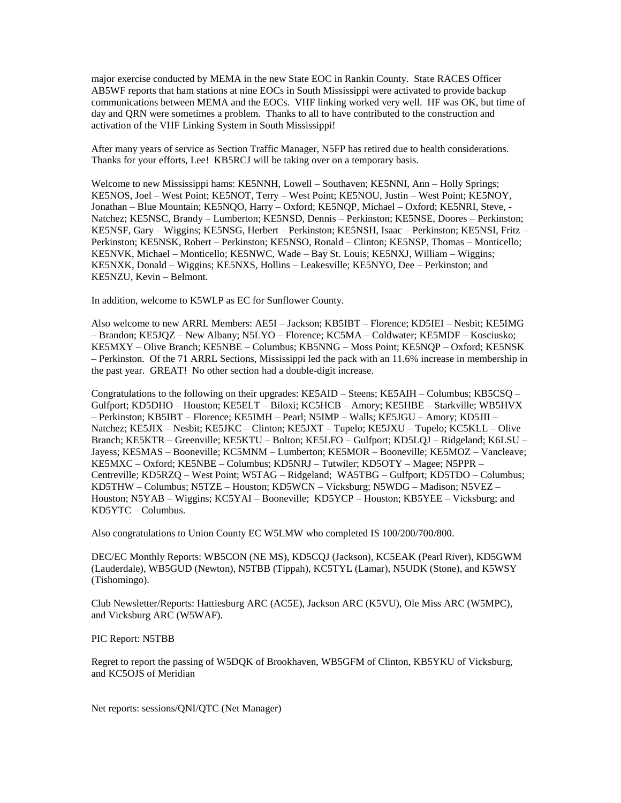major exercise conducted by MEMA in the new State EOC in Rankin County. State RACES Officer AB5WF reports that ham stations at nine EOCs in South Mississippi were activated to provide backup communications between MEMA and the EOCs. VHF linking worked very well. HF was OK, but time of day and QRN were sometimes a problem. Thanks to all to have contributed to the construction and activation of the VHF Linking System in South Mississippi!

After many years of service as Section Traffic Manager, N5FP has retired due to health considerations. Thanks for your efforts, Lee! KB5RCJ will be taking over on a temporary basis.

Welcome to new Mississippi hams: KE5NNH, Lowell – Southaven; KE5NNI, Ann – Holly Springs; KE5NOS, Joel – West Point; KE5NOT, Terry – West Point; KE5NOU, Justin – West Point; KE5NOY, Jonathan – Blue Mountain; KE5NQO, Harry – Oxford; KE5NQP, Michael – Oxford; KE5NRI, Steve, - Natchez; KE5NSC, Brandy – Lumberton; KE5NSD, Dennis – Perkinston; KE5NSE, Doores – Perkinston; KE5NSF, Gary – Wiggins; KE5NSG, Herbert – Perkinston; KE5NSH, Isaac – Perkinston; KE5NSI, Fritz – Perkinston; KE5NSK, Robert – Perkinston; KE5NSO, Ronald – Clinton; KE5NSP, Thomas – Monticello; KE5NVK, Michael – Monticello; KE5NWC, Wade – Bay St. Louis; KE5NXJ, William – Wiggins; KE5NXK, Donald – Wiggins; KE5NXS, Hollins – Leakesville; KE5NYO, Dee – Perkinston; and KE5NZU, Kevin – Belmont.

In addition, welcome to K5WLP as EC for Sunflower County.

Also welcome to new ARRL Members: AE5I – Jackson; KB5IBT – Florence; KD5IEI – Nesbit; KE5IMG – Brandon; KE5JQZ – New Albany; N5LYO – Florence; KC5MA – Coldwater; KE5MDF – Kosciusko; KE5MXY – Olive Branch; KE5NBE – Columbus; KB5NNG – Moss Point; KE5NQP – Oxford; KE5NSK – Perkinston. Of the 71 ARRL Sections, Mississippi led the pack with an 11.6% increase in membership in the past year. GREAT! No other section had a double-digit increase.

Congratulations to the following on their upgrades: KE5AID – Steens; KE5AIH – Columbus; KB5CSQ – Gulfport; KD5DHO – Houston; KE5ELT – Biloxi; KC5HCB – Amory; KE5HBE – Starkville; WB5HVX – Perkinston; KB5IBT – Florence; KE5IMH – Pearl; N5IMP – Walls; KE5JGU – Amory; KD5JII – Natchez; KE5JIX – Nesbit; KE5JKC – Clinton; KE5JXT – Tupelo; KE5JXU – Tupelo; KC5KLL – Olive Branch; KE5KTR – Greenville; KE5KTU – Bolton; KE5LFO – Gulfport; KD5LQJ – Ridgeland; K6LSU – Jayess; KE5MAS – Booneville; KC5MNM – Lumberton; KE5MOR – Booneville; KE5MOZ – Vancleave; KE5MXC – Oxford; KE5NBE – Columbus; KD5NRJ – Tutwiler; KD5OTY – Magee; N5PPR – Centreville; KD5RZQ – West Point; W5TAG – Ridgeland; WA5TBG – Gulfport; KD5TDO – Columbus; KD5THW – Columbus; N5TZE – Houston; KD5WCN – Vicksburg; N5WDG – Madison; N5VEZ – Houston; N5YAB – Wiggins; KC5YAI – Booneville; KD5YCP – Houston; KB5YEE – Vicksburg; and KD5YTC – Columbus.

Also congratulations to Union County EC W5LMW who completed IS 100/200/700/800.

DEC/EC Monthly Reports: WB5CON (NE MS), KD5CQJ (Jackson), KC5EAK (Pearl River), KD5GWM (Lauderdale), WB5GUD (Newton), N5TBB (Tippah), KC5TYL (Lamar), N5UDK (Stone), and K5WSY (Tishomingo).

Club Newsletter/Reports: Hattiesburg ARC (AC5E), Jackson ARC (K5VU), Ole Miss ARC (W5MPC), and Vicksburg ARC (W5WAF).

PIC Report: N5TBB

Regret to report the passing of W5DQK of Brookhaven, WB5GFM of Clinton, KB5YKU of Vicksburg, and KC5OJS of Meridian

Net reports: sessions/QNI/QTC (Net Manager)